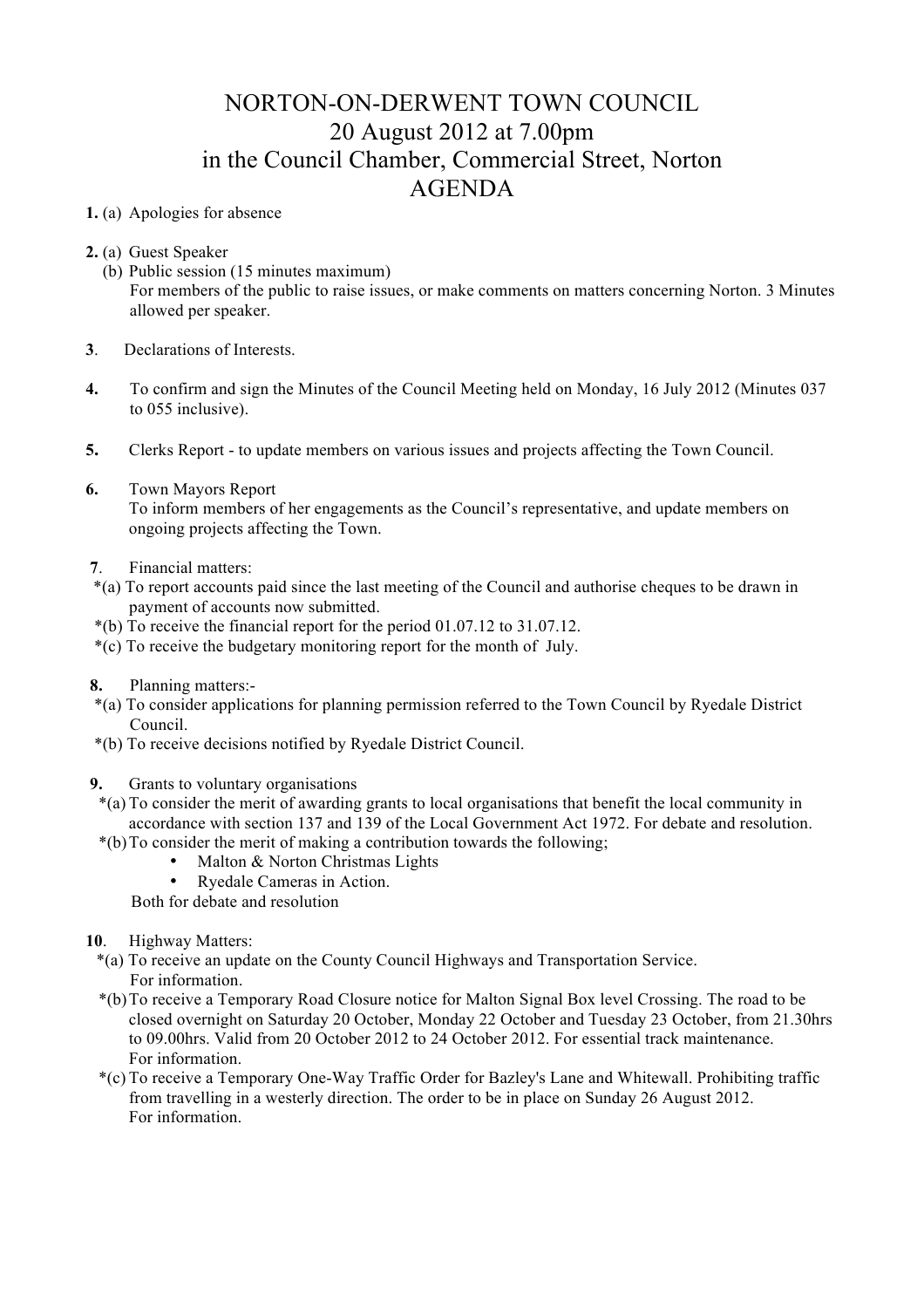## NORTON-ON-DERWENT TOWN COUNCIL 20 August 2012 at 7.00pm in the Council Chamber, Commercial Street, Norton AGENDA

## **1.** (a) Apologies for absence

- **2.** (a) Guest Speaker
	- (b) Public session (15 minutes maximum) For members of the public to raise issues, or make comments on matters concerning Norton. 3 Minutes allowed per speaker.
- **3**. Declarations of Interests.
- **4.** To confirm and sign the Minutes of the Council Meeting held on Monday, 16 July 2012 (Minutes 037 to 055 inclusive).
- **5.** Clerks Report to update members on various issues and projects affecting the Town Council.
- **6.** Town Mayors Report To inform members of her engagements as the Council's representative, and update members on ongoing projects affecting the Town.
- **7**. Financial matters:
- \*(a) To report accounts paid since the last meeting of the Council and authorise cheques to be drawn in payment of accounts now submitted.
- \*(b) To receive the financial report for the period 01.07.12 to 31.07.12.
- \*(c) To receive the budgetary monitoring report for the month of July.
- **8.** Planning matters:-
- \*(a) To consider applications for planning permission referred to the Town Council by Ryedale District Council.
- \*(b) To receive decisions notified by Ryedale District Council.
- **9.** Grants to voluntary organisations
- \*(a) To consider the merit of awarding grants to local organisations that benefit the local community in accordance with section 137 and 139 of the Local Government Act 1972. For debate and resolution.
- \*(b)To consider the merit of making a contribution towards the following;
	- Malton & Norton Christmas Lights
	- Ryedale Cameras in Action.

Both for debate and resolution

- **10**. Highway Matters:
- \*(a) To receive an update on the County Council Highways and Transportation Service. For information.
- \*(b)To receive a Temporary Road Closure notice for Malton Signal Box level Crossing. The road to be closed overnight on Saturday 20 October, Monday 22 October and Tuesday 23 October, from 21.30hrs to 09.00hrs. Valid from 20 October 2012 to 24 October 2012. For essential track maintenance. For information.
- \*(c) To receive a Temporary One-Way Traffic Order for Bazley's Lane and Whitewall. Prohibiting traffic from travelling in a westerly direction. The order to be in place on Sunday 26 August 2012. For information.